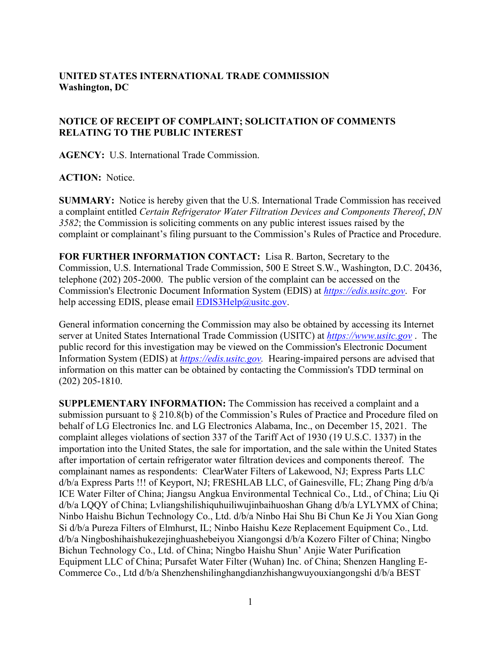## **UNITED STATES INTERNATIONAL TRADE COMMISSION Washington, DC**

## **NOTICE OF RECEIPT OF COMPLAINT; SOLICITATION OF COMMENTS RELATING TO THE PUBLIC INTEREST**

**AGENCY:** U.S. International Trade Commission.

## **ACTION:** Notice.

**SUMMARY:** Notice is hereby given that the U.S. International Trade Commission has received a complaint entitled *Certain Refrigerator Water Filtration Devices and Components Thereof*, *DN 3582*; the Commission is soliciting comments on any public interest issues raised by the complaint or complainant's filing pursuant to the Commission's Rules of Practice and Procedure.

**FOR FURTHER INFORMATION CONTACT:** Lisa R. Barton, Secretary to the Commission, U.S. International Trade Commission, 500 E Street S.W., Washington, D.C. 20436, telephone (202) 205-2000. The public version of the complaint can be accessed on the Commission's Electronic Document Information System (EDIS) at *[https://edis.usitc.gov](https://edis.usitc.gov/)*. For help accessing EDIS, please email [EDIS3Help@usitc.gov.](mailto:EDIS3Help@usitc.gov)

General information concerning the Commission may also be obtained by accessing its Internet server at United States International Trade Commission (USITC) at *[https://www.usitc.gov](https://www.usitc.gov/)* . The public record for this investigation may be viewed on the Commission's Electronic Document Information System (EDIS) at *[https://edis.usitc.gov.](https://edis.usitc.gov/)* Hearing-impaired persons are advised that information on this matter can be obtained by contacting the Commission's TDD terminal on (202) 205-1810.

**SUPPLEMENTARY INFORMATION:** The Commission has received a complaint and a submission pursuant to § 210.8(b) of the Commission's Rules of Practice and Procedure filed on behalf of LG Electronics Inc. and LG Electronics Alabama, Inc., on December 15, 2021. The complaint alleges violations of section 337 of the Tariff Act of 1930 (19 U.S.C. 1337) in the importation into the United States, the sale for importation, and the sale within the United States after importation of certain refrigerator water filtration devices and components thereof. The complainant names as respondents: ClearWater Filters of Lakewood, NJ; Express Parts LLC d/b/a Express Parts !!! of Keyport, NJ; FRESHLAB LLC, of Gainesville, FL; Zhang Ping d/b/a ICE Water Filter of China; Jiangsu Angkua Environmental Technical Co., Ltd., of China; Liu Qi d/b/a LQQY of China; Lvliangshilishiquhuiliwujinbaihuoshan Ghang d/b/a LYLYMX of China; Ninbo Haishu Bichun Technology Co., Ltd. d/b/a Ninbo Hai Shu Bi Chun Ke Ji You Xian Gong Si d/b/a Pureza Filters of Elmhurst, IL; Ninbo Haishu Keze Replacement Equipment Co., Ltd. d/b/a Ningboshihaishukezejinghuashebeiyou Xiangongsi d/b/a Kozero Filter of China; Ningbo Bichun Technology Co., Ltd. of China; Ningbo Haishu Shun' Anjie Water Purification Equipment LLC of China; Pursafet Water Filter (Wuhan) Inc. of China; Shenzen Hangling E-Commerce Co., Ltd d/b/a Shenzhenshilinghangdianzhishangwuyouxiangongshi d/b/a BEST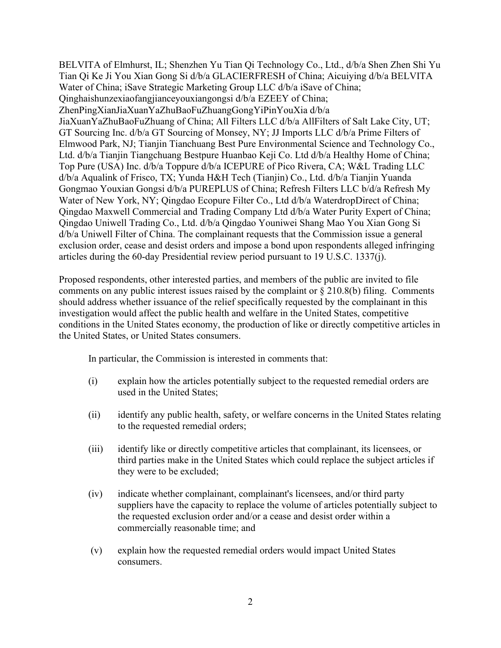BELVITA of Elmhurst, IL; Shenzhen Yu Tian Qi Technology Co., Ltd., d/b/a Shen Zhen Shi Yu Tian Qi Ke Ji You Xian Gong Si d/b/a GLACIERFRESH of China; Aicuiying d/b/a BELVITA Water of China; iSave Strategic Marketing Group LLC d/b/a iSave of China; Qinghaishunzexiaofangjianceyouxiangongsi d/b/a EZEEY of China; ZhenPingXianJiaXuanYaZhuBaoFuZhuangGongYiPinYouXia d/b/a JiaXuanYaZhuBaoFuZhuang of China; All Filters LLC d/b/a AllFilters of Salt Lake City, UT; GT Sourcing Inc. d/b/a GT Sourcing of Monsey, NY; JJ Imports LLC d/b/a Prime Filters of Elmwood Park, NJ; Tianjin Tianchuang Best Pure Environmental Science and Technology Co., Ltd. d/b/a Tianjin Tiangchuang Bestpure Huanbao Keji Co. Ltd d/b/a Healthy Home of China; Top Pure (USA) Inc. d/b/a Toppure d/b/a ICEPURE of Pico Rivera, CA; W&L Trading LLC d/b/a Aqualink of Frisco, TX; Yunda H&H Tech (Tianjin) Co., Ltd. d/b/a Tianjin Yuanda Gongmao Youxian Gongsi d/b/a PUREPLUS of China; Refresh Filters LLC b/d/a Refresh My Water of New York, NY; Qingdao Ecopure Filter Co., Ltd d/b/a WaterdropDirect of China; Qingdao Maxwell Commercial and Trading Company Ltd d/b/a Water Purity Expert of China; Qingdao Uniwell Trading Co., Ltd. d/b/a Qingdao Youniwei Shang Mao You Xian Gong Si d/b/a Uniwell Filter of China. The complainant requests that the Commission issue a general exclusion order, cease and desist orders and impose a bond upon respondents alleged infringing articles during the 60-day Presidential review period pursuant to 19 U.S.C. 1337(j).

Proposed respondents, other interested parties, and members of the public are invited to file comments on any public interest issues raised by the complaint or  $\S 210.8(b)$  filing. Comments should address whether issuance of the relief specifically requested by the complainant in this investigation would affect the public health and welfare in the United States, competitive conditions in the United States economy, the production of like or directly competitive articles in the United States, or United States consumers.

In particular, the Commission is interested in comments that:

- (i) explain how the articles potentially subject to the requested remedial orders are used in the United States;
- (ii) identify any public health, safety, or welfare concerns in the United States relating to the requested remedial orders;
- (iii) identify like or directly competitive articles that complainant, its licensees, or third parties make in the United States which could replace the subject articles if they were to be excluded;
- (iv) indicate whether complainant, complainant's licensees, and/or third party suppliers have the capacity to replace the volume of articles potentially subject to the requested exclusion order and/or a cease and desist order within a commercially reasonable time; and
- (v) explain how the requested remedial orders would impact United States consumers.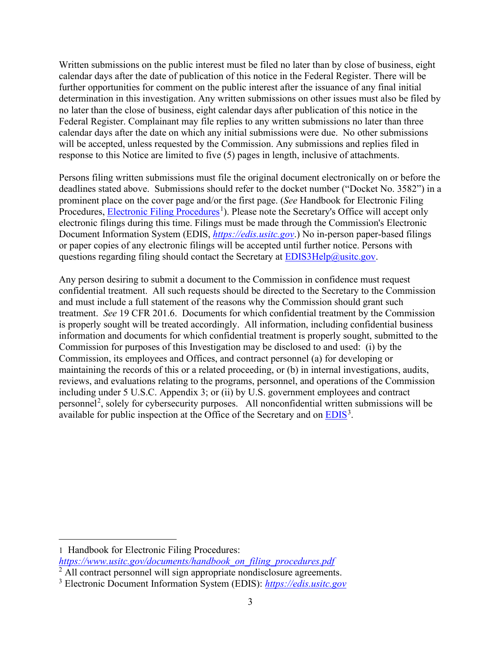Written submissions on the public interest must be filed no later than by close of business, eight calendar days after the date of publication of this notice in the Federal Register. There will be further opportunities for comment on the public interest after the issuance of any final initial determination in this investigation. Any written submissions on other issues must also be filed by no later than the close of business, eight calendar days after publication of this notice in the Federal Register. Complainant may file replies to any written submissions no later than three calendar days after the date on which any initial submissions were due. No other submissions will be accepted, unless requested by the Commission. Any submissions and replies filed in response to this Notice are limited to five (5) pages in length, inclusive of attachments.

Persons filing written submissions must file the original document electronically on or before the deadlines stated above. Submissions should refer to the docket number ("Docket No. 3582") in a prominent place on the cover page and/or the first page. (*See* Handbook for Electronic Filing Procedures, **Electronic Filing Procedures**<sup>[1](#page-2-0)</sup>). Please note the Secretary's Office will accept only electronic filings during this time. Filings must be made through the Commission's Electronic Document Information System (EDIS, *[https://edis.usitc.gov](https://edis.usitc.gov/)*.) No in-person paper-based filings or paper copies of any electronic filings will be accepted until further notice. Persons with questions regarding filing should contact the Secretary at [EDIS3Help@usitc.gov.](mailto:EDIS3Help@usitc.gov)

Any person desiring to submit a document to the Commission in confidence must request confidential treatment. All such requests should be directed to the Secretary to the Commission and must include a full statement of the reasons why the Commission should grant such treatment. *See* 19 CFR 201.6. Documents for which confidential treatment by the Commission is properly sought will be treated accordingly. All information, including confidential business information and documents for which confidential treatment is properly sought, submitted to the Commission for purposes of this Investigation may be disclosed to and used: (i) by the Commission, its employees and Offices, and contract personnel (a) for developing or maintaining the records of this or a related proceeding, or (b) in internal investigations, audits, reviews, and evaluations relating to the programs, personnel, and operations of the Commission including under 5 U.S.C. Appendix 3; or (ii) by U.S. government employees and contract personnel<sup>[2](#page-2-1)</sup>, solely for cybersecurity purposes. All nonconfidential written submissions will be available for public inspection at the Office of the Secretary and on  $EDIS<sup>3</sup>$  $EDIS<sup>3</sup>$  $EDIS<sup>3</sup>$ .

<span id="page-2-0"></span><sup>1</sup> Handbook for Electronic Filing Procedures:

*[https://www.usitc.gov/documents/handbook\\_on\\_filing\\_procedures.pdf](https://www.usitc.gov/documents/handbook_on_filing_procedures.pdf)*

<span id="page-2-1"></span><sup>&</sup>lt;sup>2</sup> All contract personnel will sign appropriate nondisclosure agreements.

<span id="page-2-2"></span><sup>3</sup> Electronic Document Information System (EDIS): *[https://edis.usitc.gov](https://edis.usitc.gov/)*